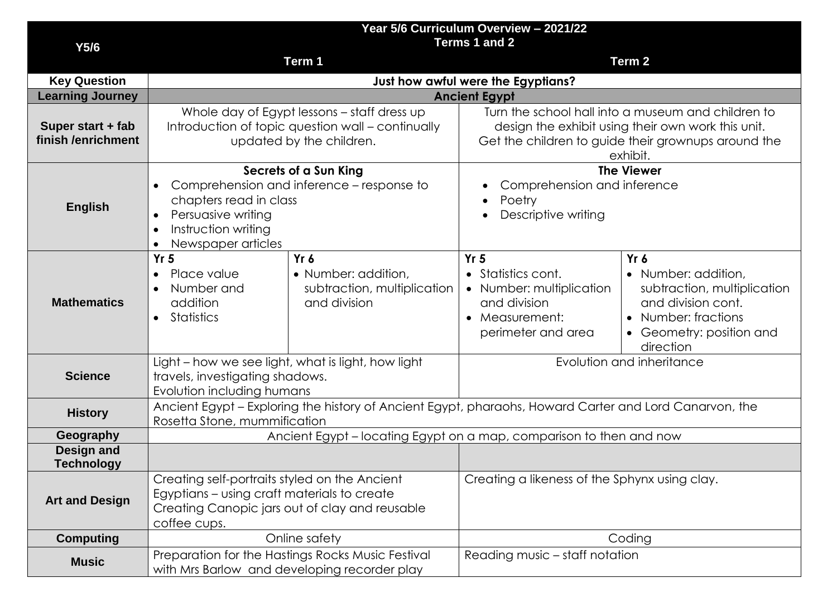|                                         | Year 5/6 Curriculum Overview - 2021/22<br>Terms 1 and 2                                                                                                                                                             |                                                                            |                                                                                                                                                                             |                                                                                                                                                    |  |  |
|-----------------------------------------|---------------------------------------------------------------------------------------------------------------------------------------------------------------------------------------------------------------------|----------------------------------------------------------------------------|-----------------------------------------------------------------------------------------------------------------------------------------------------------------------------|----------------------------------------------------------------------------------------------------------------------------------------------------|--|--|
| Y5/6                                    | Term 1<br>Term 2                                                                                                                                                                                                    |                                                                            |                                                                                                                                                                             |                                                                                                                                                    |  |  |
| <b>Key Question</b>                     | Just how awful were the Egyptians?                                                                                                                                                                                  |                                                                            |                                                                                                                                                                             |                                                                                                                                                    |  |  |
| <b>Learning Journey</b>                 | <b>Ancient Egypt</b>                                                                                                                                                                                                |                                                                            |                                                                                                                                                                             |                                                                                                                                                    |  |  |
| Super start + fab<br>finish /enrichment | Whole day of Egypt lessons - staff dress up<br>Introduction of topic question wall - continually<br>updated by the children.                                                                                        |                                                                            | Turn the school hall into a museum and children to<br>design the exhibit using their own work this unit.<br>Get the children to guide their grownups around the<br>exhibit. |                                                                                                                                                    |  |  |
| <b>English</b>                          | Secrets of a Sun King<br>Comprehension and inference – response to<br>$\bullet$<br>chapters read in class<br>Persuasive writing<br>$\bullet$<br>Instruction writing<br>$\bullet$<br>Newspaper articles<br>$\bullet$ |                                                                            | <b>The Viewer</b><br>Comprehension and inference<br>Poetry<br>Descriptive writing                                                                                           |                                                                                                                                                    |  |  |
| <b>Mathematics</b>                      | Yr <sub>5</sub><br>Place value<br>$\bullet$<br>Number and<br>$\bullet$<br>addition<br>Statistics<br>$\bullet$                                                                                                       | Yr 6<br>• Number: addition,<br>subtraction, multiplication<br>and division | Yr <sub>5</sub><br>• Statistics cont.<br>• Number: multiplication<br>and division<br>• Measurement:<br>perimeter and area                                                   | $Yr$ 6<br>• Number: addition,<br>subtraction, multiplication<br>and division cont.<br>• Number: fractions<br>• Geometry: position and<br>direction |  |  |
| <b>Science</b>                          | Light - how we see light, what is light, how light<br>travels, investigating shadows.<br>Evolution including humans                                                                                                 |                                                                            | Evolution and inheritance                                                                                                                                                   |                                                                                                                                                    |  |  |
| <b>History</b>                          | Ancient Egypt - Exploring the history of Ancient Egypt, pharaohs, Howard Carter and Lord Canarvon, the<br>Rosetta Stone, mummification                                                                              |                                                                            |                                                                                                                                                                             |                                                                                                                                                    |  |  |
| Geography                               | Ancient Egypt - locating Egypt on a map, comparison to then and now                                                                                                                                                 |                                                                            |                                                                                                                                                                             |                                                                                                                                                    |  |  |
| Design and<br><b>Technology</b>         |                                                                                                                                                                                                                     |                                                                            |                                                                                                                                                                             |                                                                                                                                                    |  |  |
| <b>Art and Design</b>                   | Creating self-portraits styled on the Ancient<br>Egyptians – using craft materials to create<br>Creating Canopic jars out of clay and reusable<br>coffee cups.                                                      |                                                                            | Creating a likeness of the Sphynx using clay.                                                                                                                               |                                                                                                                                                    |  |  |
| <b>Computing</b>                        | Online safety                                                                                                                                                                                                       |                                                                            | Coding                                                                                                                                                                      |                                                                                                                                                    |  |  |
| <b>Music</b>                            | Preparation for the Hastings Rocks Music Festival<br>Reading music - staff notation<br>with Mrs Barlow and developing recorder play                                                                                 |                                                                            |                                                                                                                                                                             |                                                                                                                                                    |  |  |